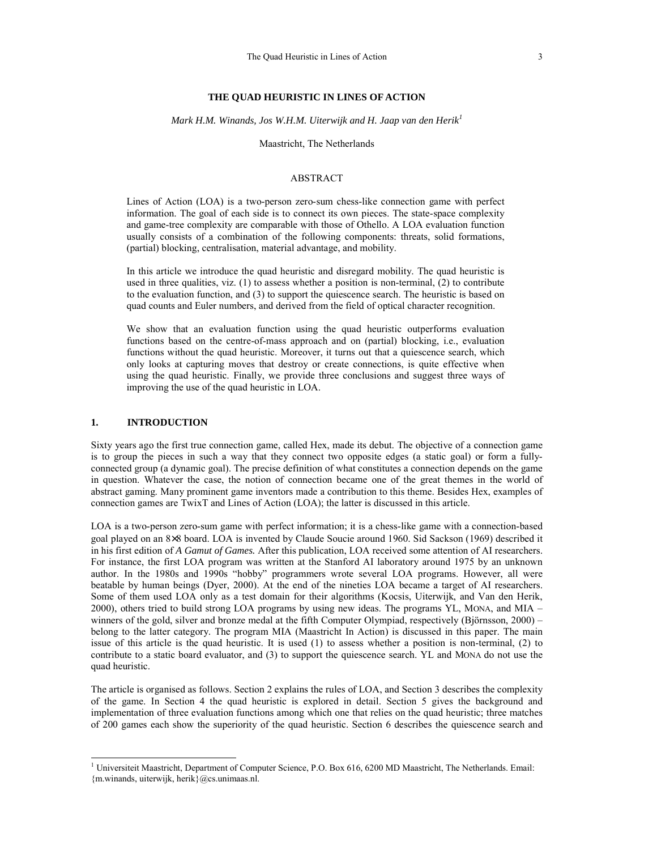# **THE QUAD HEURISTIC IN LINES OF ACTION**

*Mark H.M. Winands, Jos W.H.M. Uiterwijk and H. Jaap van den Herik<sup>1</sup>*

Maastricht, The Netherlands

### ABSTRACT

Lines of Action (LOA) is a two-person zero-sum chess-like connection game with perfect information. The goal of each side is to connect its own pieces. The state-space complexity and game-tree complexity are comparable with those of Othello. A LOA evaluation function usually consists of a combination of the following components: threats, solid formations, (partial) blocking, centralisation, material advantage, and mobility.

In this article we introduce the quad heuristic and disregard mobility. The quad heuristic is used in three qualities, viz. (1) to assess whether a position is non-terminal, (2) to contribute to the evaluation function, and (3) to support the quiescence search. The heuristic is based on quad counts and Euler numbers, and derived from the field of optical character recognition.

We show that an evaluation function using the quad heuristic outperforms evaluation functions based on the centre-of-mass approach and on (partial) blocking, i.e., evaluation functions without the quad heuristic. Moreover, it turns out that a quiescence search, which only looks at capturing moves that destroy or create connections, is quite effective when using the quad heuristic. Finally, we provide three conclusions and suggest three ways of improving the use of the quad heuristic in LOA.

### **1. INTRODUCTION**

 $\overline{a}$ 

Sixty years ago the first true connection game, called Hex, made its debut. The objective of a connection game is to group the pieces in such a way that they connect two opposite edges (a static goal) or form a fullyconnected group (a dynamic goal). The precise definition of what constitutes a connection depends on the game in question. Whatever the case, the notion of connection became one of the great themes in the world of abstract gaming. Many prominent game inventors made a contribution to this theme. Besides Hex, examples of connection games are TwixT and Lines of Action (LOA); the latter is discussed in this article.

LOA is a two-person zero-sum game with perfect information; it is a chess-like game with a connection-based goal played on an 8×8 board. LOA is invented by Claude Soucie around 1960. Sid Sackson (1969) described it in his first edition of *A Gamut of Games.* After this publication, LOA received some attention of AI researchers. For instance, the first LOA program was written at the Stanford AI laboratory around 1975 by an unknown author. In the 1980s and 1990s "hobby" programmers wrote several LOA programs. However, all were beatable by human beings (Dyer, 2000). At the end of the nineties LOA became a target of AI researchers. Some of them used LOA only as a test domain for their algorithms (Kocsis, Uiterwijk, and Van den Herik, 2000), others tried to build strong LOA programs by using new ideas. The programs YL, MONA, and MIA – winners of the gold, silver and bronze medal at the fifth Computer Olympiad, respectively (Björnsson, 2000) – belong to the latter category. The program MIA (Maastricht In Action) is discussed in this paper. The main issue of this article is the quad heuristic. It is used (1) to assess whether a position is non-terminal, (2) to contribute to a static board evaluator, and (3) to support the quiescence search. YL and MONA do not use the quad heuristic.

The article is organised as follows. Section 2 explains the rules of LOA, and Section 3 describes the complexity of the game. In Section 4 the quad heuristic is explored in detail. Section 5 gives the background and implementation of three evaluation functions among which one that relies on the quad heuristic; three matches of 200 games each show the superiority of the quad heuristic. Section 6 describes the quiescence search and

<sup>&</sup>lt;sup>1</sup> Universiteit Maastricht, Department of Computer Science, P.O. Box 616, 6200 MD Maastricht, The Netherlands. Email: {m.winands, uiterwijk, herik}@cs.unimaas.nl.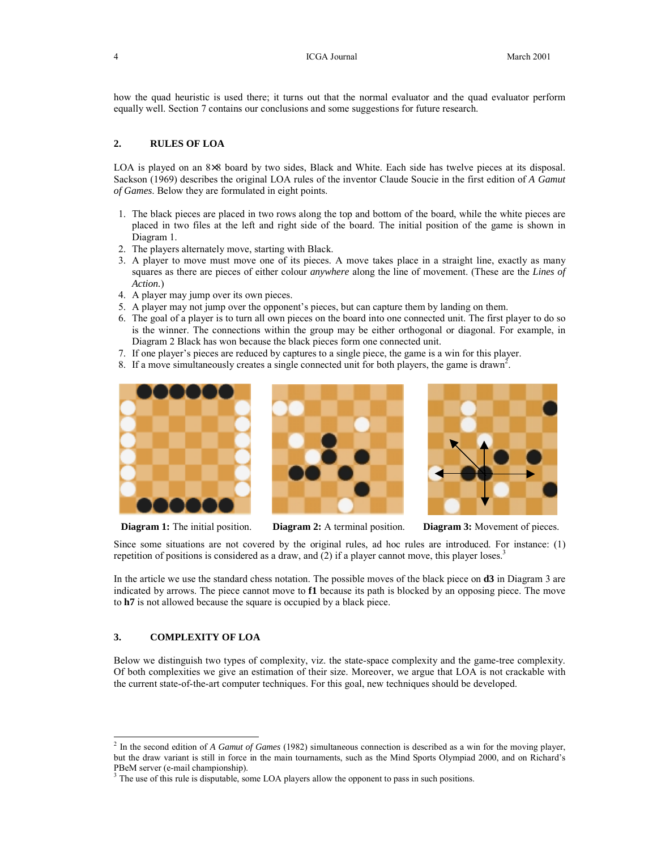how the quad heuristic is used there; it turns out that the normal evaluator and the quad evaluator perform equally well. Section 7 contains our conclusions and some suggestions for future research.

### **2. RULES OF LOA**

LOA is played on an  $8\times 8$  board by two sides, Black and White. Each side has twelve pieces at its disposal. Sackson (1969) describes the original LOA rules of the inventor Claude Soucie in the first edition of *A Gamut of Games*. Below they are formulated in eight points.

- 1. The black pieces are placed in two rows along the top and bottom of the board, while the white pieces are placed in two files at the left and right side of the board. The initial position of the game is shown in Diagram 1.
- 2. The players alternately move, starting with Black.
- 3. A player to move must move one of its pieces. A move takes place in a straight line, exactly as many squares as there are pieces of either colour *anywhere* along the line of movement. (These are the *Lines of Action.*)
- 4. A player may jump over its own pieces.
- 5. A player may not jump over the opponent's pieces, but can capture them by landing on them.
- 6. The goal of a player is to turn all own pieces on the board into one connected unit. The first player to do so is the winner. The connections within the group may be either orthogonal or diagonal. For example, in Diagram 2 Black has won because the black pieces form one connected unit.
- 7. If one player's pieces are reduced by captures to a single piece, the game is a win for this player.
- 8. If a move simultaneously creates a single connected unit for both players, the game is drawn<sup>2</sup>.



**Diagram 1:** The initial position. **Diagram 2:** A terminal position. **Diagram 3:** Movement of pieces.





Since some situations are not covered by the original rules, ad hoc rules are introduced. For instance: (1) repetition of positions is considered as a draw, and  $(2)$  if a player cannot move, this player loses.<sup>3</sup>

In the article we use the standard chess notation. The possible moves of the black piece on **d3** in Diagram 3 are indicated by arrows. The piece cannot move to **f1** because its path is blocked by an opposing piece. The move to **h7** is not allowed because the square is occupied by a black piece.

# **3. COMPLEXITY OF LOA**

-

Below we distinguish two types of complexity, viz. the state-space complexity and the game-tree complexity. Of both complexities we give an estimation of their size. Moreover, we argue that LOA is not crackable with the current state-of-the-art computer techniques. For this goal, new techniques should be developed.

<sup>2</sup> In the second edition of *A Gamut of Games* (1982) simultaneous connection is described as a win for the moving player, but the draw variant is still in force in the main tournaments, such as the Mind Sports Olympiad 2000, and on Richard's PBeM server (e-mail championship).

<sup>&</sup>lt;sup>3</sup> The use of this rule is disputable, some LOA players allow the opponent to pass in such positions.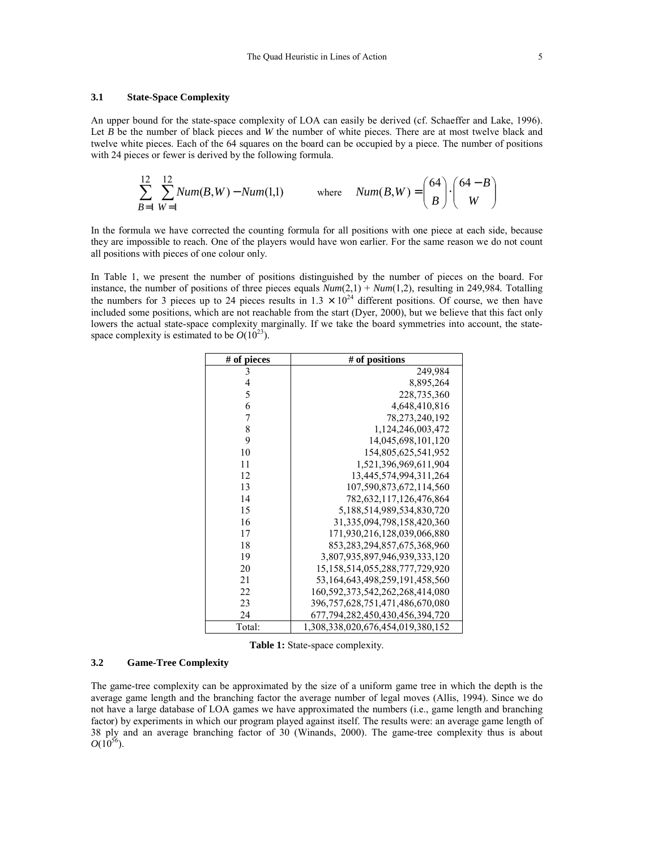An upper bound for the state-space complexity of LOA can easily be derived (cf. Schaeffer and Lake, 1996). Let *B* be the number of black pieces and *W* the number of white pieces. There are at most twelve black and twelve white pieces. Each of the 64 squares on the board can be occupied by a piece. The number of positions with 24 pieces or fewer is derived by the following formula.

$$
\sum_{B=1}^{12} \sum_{W=1}^{12} Num(B, W) - Num(1,1) \qquad \text{where} \quad Num(B, W) = \binom{64}{B} \cdot \binom{64 - B}{W}
$$

In the formula we have corrected the counting formula for all positions with one piece at each side, because they are impossible to reach. One of the players would have won earlier. For the same reason we do not count all positions with pieces of one colour only.

In Table 1, we present the number of positions distinguished by the number of pieces on the board. For instance, the number of positions of three pieces equals *Num*(2,1) + *Num*(1,2), resulting in 249,984*.* Totalling the numbers for 3 pieces up to 24 pieces results in  $1.3 \times 10^{24}$  different positions. Of course, we then have included some positions, which are not reachable from the start (Dyer, 2000), but we believe that this fact only lowers the actual state-space complexity marginally. If we take the board symmetries into account, the statespace complexity is estimated to be  $O(10^{23})$ .

| # of pieces | # of positions                         |
|-------------|----------------------------------------|
| 3           | 249,984                                |
| 4           | 8,895,264                              |
| 5           | 228,735,360                            |
| 6           | 4,648,410,816                          |
| 7           | 78, 273, 240, 192                      |
| 8           | 1,124,246,003,472                      |
| 9           | 14,045,698,101,120                     |
| 10          | 154,805,625,541,952                    |
| 11          | 1,521,396,969,611,904                  |
| 12          | 13,445,574,994,311,264                 |
| 13          | 107,590,873,672,114,560                |
| 14          | 782, 632, 117, 126, 476, 864           |
| 15          | 5,188,514,989,534,830,720              |
| 16          | 31, 335, 094, 798, 158, 420, 360       |
| 17          | 171,930,216,128,039,066,880            |
| 18          | 853, 283, 294, 857, 675, 368, 960      |
| 19          | 3,807,935,897,946,939,333,120          |
| 20          | 15, 158, 514, 055, 288, 777, 729, 920  |
| 21          | 53, 164, 643, 498, 259, 191, 458, 560  |
| 22          | 160,592,373,542,262,268,414,080        |
| 23          | 396, 757, 628, 751, 471, 486, 670, 080 |
| 24          | 677, 794, 282, 450, 430, 456, 394, 720 |
| Total:      | 1,308,338,020,676,454,019,380,152      |

**Table 1:** State-space complexity.

#### **3.2 Game-Tree Complexity**

The game-tree complexity can be approximated by the size of a uniform game tree in which the depth is the average game length and the branching factor the average number of legal moves (Allis, 1994). Since we do not have a large database of LOA games we have approximated the numbers (i.e., game length and branching factor) by experiments in which our program played against itself. The results were: an average game length of 38 ply and an average branching factor of 30 (Winands, 2000). The game-tree complexity thus is about  $O(10^{56})$ .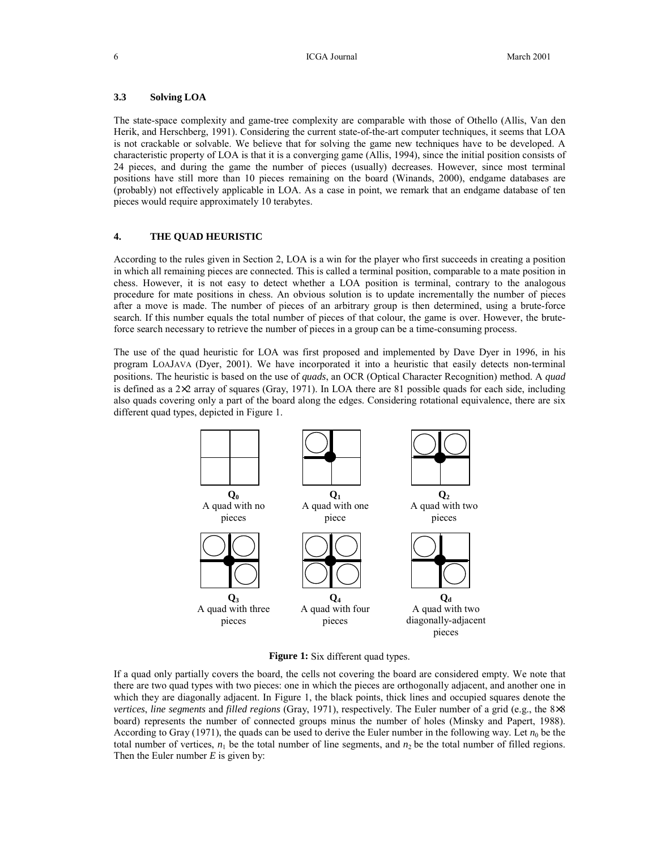### **3.3 Solving LOA**

The state-space complexity and game-tree complexity are comparable with those of Othello (Allis, Van den Herik, and Herschberg, 1991). Considering the current state-of-the-art computer techniques, it seems that LOA is not crackable or solvable. We believe that for solving the game new techniques have to be developed. A characteristic property of LOA is that it is a converging game (Allis, 1994), since the initial position consists of 24 pieces, and during the game the number of pieces (usually) decreases. However, since most terminal positions have still more than 10 pieces remaining on the board (Winands, 2000), endgame databases are (probably) not effectively applicable in LOA. As a case in point, we remark that an endgame database of ten pieces would require approximately 10 terabytes.

# **4. THE QUAD HEURISTIC**

According to the rules given in Section 2, LOA is a win for the player who first succeeds in creating a position in which all remaining pieces are connected. This is called a terminal position, comparable to a mate position in chess. However, it is not easy to detect whether a LOA position is terminal, contrary to the analogous procedure for mate positions in chess. An obvious solution is to update incrementally the number of pieces after a move is made. The number of pieces of an arbitrary group is then determined, using a brute-force search. If this number equals the total number of pieces of that colour, the game is over. However, the bruteforce search necessary to retrieve the number of pieces in a group can be a time-consuming process.

The use of the quad heuristic for LOA was first proposed and implemented by Dave Dyer in 1996, in his program LOAJAVA (Dyer, 2001). We have incorporated it into a heuristic that easily detects non-terminal positions. The heuristic is based on the use of *quads*, an OCR (Optical Character Recognition) method. A *quad* is defined as a 2×2 array of squares (Gray, 1971). In LOA there are 81 possible quads for each side, including also quads covering only a part of the board along the edges. Considering rotational equivalence, there are six different quad types, depicted in Figure 1.



**Figure 1:** Six different quad types.

If a quad only partially covers the board, the cells not covering the board are considered empty. We note that there are two quad types with two pieces: one in which the pieces are orthogonally adjacent, and another one in which they are diagonally adjacent. In Figure 1, the black points, thick lines and occupied squares denote the *vertices*, *line segments* and *filled regions* (Gray, 1971), respectively. The Euler number of a grid (e.g., the 8×8 board) represents the number of connected groups minus the number of holes (Minsky and Papert, 1988). According to Gray (1971), the quads can be used to derive the Euler number in the following way. Let  $n_0$  be the total number of vertices,  $n_1$  be the total number of line segments, and  $n_2$  be the total number of filled regions. Then the Euler number *E* is given by: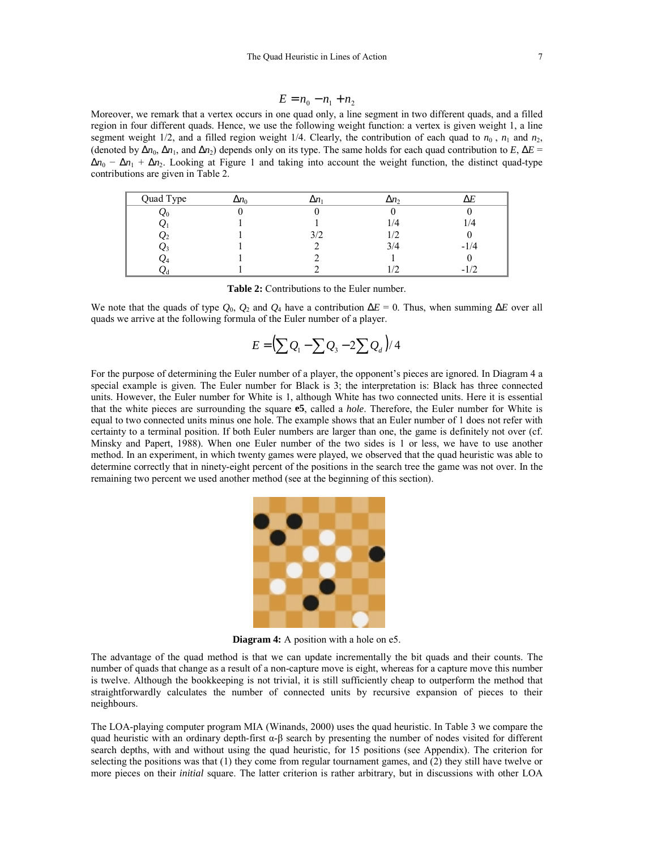$$
E = n_0 - n_1 + n_2
$$

Moreover, we remark that a vertex occurs in one quad only, a line segment in two different quads, and a filled region in four different quads. Hence, we use the following weight function: a vertex is given weight 1, a line segment weight  $1/2$ , and a filled region weight  $1/4$ . Clearly, the contribution of each quad to  $n_0$ ,  $n_1$  and  $n_2$ , (denoted by  $\Delta n_0$ ,  $\Delta n_1$ , and  $\Delta n_2$ ) depends only on its type. The same holds for each quad contribution to *E*,  $\Delta E$  =  $\Delta n_0 - \Delta n_1 + \Delta n_2$ . Looking at Figure 1 and taking into account the weight function, the distinct quad-type contributions are given in Table 2.

| Quad Type | $\Delta n_0$ | $\Delta n$ | $\Delta n$ |            |
|-----------|--------------|------------|------------|------------|
| ŽΟ        |              |            |            |            |
|           |              |            | 1/4        | $\sqrt{4}$ |
| Ω2        |              | 3/2        | 17         |            |
|           |              |            | 3/4        | $-1/4$     |
| Ω4        |              |            |            |            |
|           |              |            |            | -          |

| <b>Table 2:</b> Contributions to the Euler number. |  |
|----------------------------------------------------|--|
|----------------------------------------------------|--|

We note that the quads of type  $Q_0$ ,  $Q_2$  and  $Q_4$  have a contribution  $\Delta E = 0$ . Thus, when summing  $\Delta E$  over all quads we arrive at the following formula of the Euler number of a player.

$$
E = \left(\sum Q_1 - \sum Q_3 - 2\sum Q_d\right)/4
$$

For the purpose of determining the Euler number of a player, the opponent's pieces are ignored. In Diagram 4 a special example is given. The Euler number for Black is 3; the interpretation is: Black has three connected units. However, the Euler number for White is 1, although White has two connected units. Here it is essential that the white pieces are surrounding the square **e5**, called a *hole*. Therefore, the Euler number for White is equal to two connected units minus one hole. The example shows that an Euler number of 1 does not refer with certainty to a terminal position. If both Euler numbers are larger than one, the game is definitely not over (cf. Minsky and Papert, 1988). When one Euler number of the two sides is 1 or less, we have to use another method. In an experiment, in which twenty games were played, we observed that the quad heuristic was able to determine correctly that in ninety-eight percent of the positions in the search tree the game was not over. In the remaining two percent we used another method (see at the beginning of this section).



**Diagram 4:** A position with a hole on e5.

The advantage of the quad method is that we can update incrementally the bit quads and their counts. The number of quads that change as a result of a non-capture move is eight, whereas for a capture move this number is twelve. Although the bookkeeping is not trivial, it is still sufficiently cheap to outperform the method that straightforwardly calculates the number of connected units by recursive expansion of pieces to their neighbours.

The LOA-playing computer program MIA (Winands, 2000) uses the quad heuristic. In Table 3 we compare the quad heuristic with an ordinary depth-first  $\alpha$ - $\beta$  search by presenting the number of nodes visited for different search depths, with and without using the quad heuristic, for 15 positions (see Appendix). The criterion for selecting the positions was that (1) they come from regular tournament games, and (2) they still have twelve or more pieces on their *initial* square. The latter criterion is rather arbitrary, but in discussions with other LOA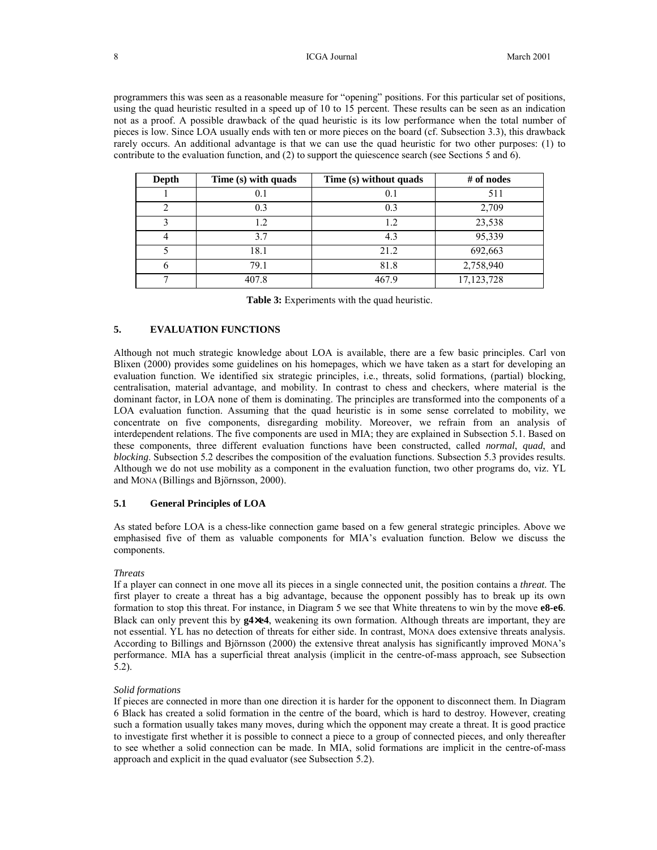#### 8 **ICGA Journal** March 2001

programmers this was seen as a reasonable measure for "opening" positions. For this particular set of positions, using the quad heuristic resulted in a speed up of 10 to 15 percent. These results can be seen as an indication not as a proof. A possible drawback of the quad heuristic is its low performance when the total number of pieces is low. Since LOA usually ends with ten or more pieces on the board (cf. Subsection 3.3), this drawback rarely occurs. An additional advantage is that we can use the quad heuristic for two other purposes: (1) to contribute to the evaluation function, and (2) to support the quiescence search (see Sections 5 and 6).

| Depth | Time (s) with quads<br>Time (s) without quads |       | $#$ of nodes |  |
|-------|-----------------------------------------------|-------|--------------|--|
|       | 0.1                                           | 0.1   | 511          |  |
|       | 0.3                                           | 0.3   | 2,709        |  |
|       | 1.2                                           | 1.2   | 23,538       |  |
|       | 3.7                                           | 4.3   | 95,339       |  |
|       | 18.1                                          | 21.2  | 692,663      |  |
|       | 79.1                                          | 81.8  | 2,758,940    |  |
|       | 407.8                                         | 467.9 | 17, 123, 728 |  |

|  |  |  | <b>Table 3:</b> Experiments with the quad heuristic. |
|--|--|--|------------------------------------------------------|
|--|--|--|------------------------------------------------------|

# **5. EVALUATION FUNCTIONS**

Although not much strategic knowledge about LOA is available, there are a few basic principles. Carl von Blixen (2000) provides some guidelines on his homepages, which we have taken as a start for developing an evaluation function. We identified six strategic principles, i.e., threats, solid formations, (partial) blocking, centralisation, material advantage, and mobility. In contrast to chess and checkers, where material is the dominant factor, in LOA none of them is dominating. The principles are transformed into the components of a LOA evaluation function. Assuming that the quad heuristic is in some sense correlated to mobility, we concentrate on five components, disregarding mobility. Moreover, we refrain from an analysis of interdependent relations. The five components are used in MIA; they are explained in Subsection 5.1. Based on these components, three different evaluation functions have been constructed, called *normal*, *quad*, and *blocking*. Subsection 5.2 describes the composition of the evaluation functions. Subsection 5.3 provides results. Although we do not use mobility as a component in the evaluation function, two other programs do, viz. YL and MONA (Billings and Björnsson, 2000).

### **5.1 General Principles of LOA**

As stated before LOA is a chess-like connection game based on a few general strategic principles. Above we emphasised five of them as valuable components for MIA's evaluation function. Below we discuss the components.

#### *Threats*

If a player can connect in one move all its pieces in a single connected unit, the position contains a *threat*. The first player to create a threat has a big advantage, because the opponent possibly has to break up its own formation to stop this threat. For instance, in Diagram 5 we see that White threatens to win by the move **e8-e6**. Black can only prevent this by **g4**×**e4**, weakening its own formation. Although threats are important, they are not essential. YL has no detection of threats for either side. In contrast, MONA does extensive threats analysis. According to Billings and Björnsson (2000) the extensive threat analysis has significantly improved MONA's performance. MIA has a superficial threat analysis (implicit in the centre-of-mass approach, see Subsection 5.2).

#### *Solid formations*

If pieces are connected in more than one direction it is harder for the opponent to disconnect them. In Diagram 6 Black has created a solid formation in the centre of the board, which is hard to destroy. However, creating such a formation usually takes many moves, during which the opponent may create a threat. It is good practice to investigate first whether it is possible to connect a piece to a group of connected pieces, and only thereafter to see whether a solid connection can be made. In MIA, solid formations are implicit in the centre-of-mass approach and explicit in the quad evaluator (see Subsection 5.2).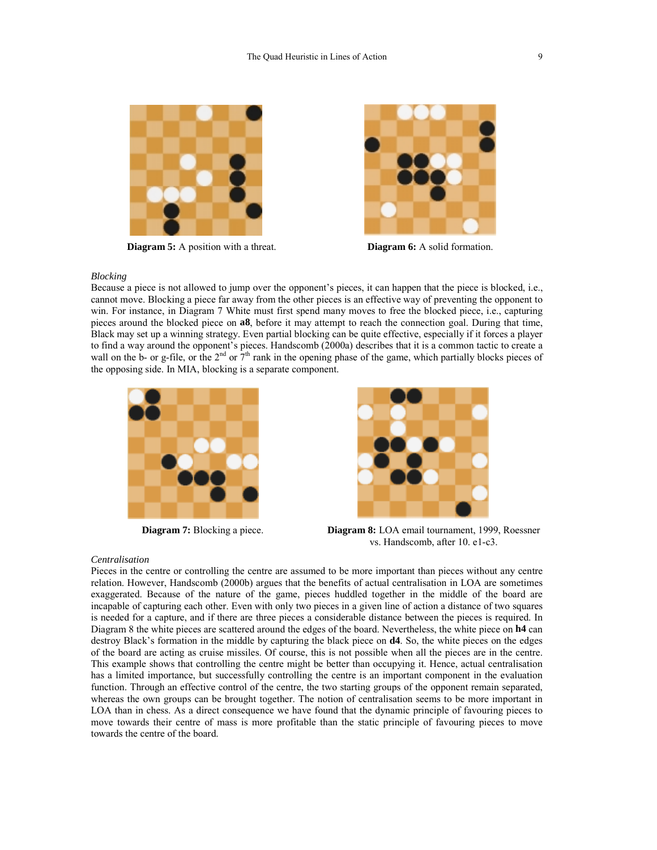

**Diagram 5:** A position with a threat. **Diagram 6:** A solid formation.



### *Blocking*

Because a piece is not allowed to jump over the opponent's pieces, it can happen that the piece is blocked, i.e., cannot move. Blocking a piece far away from the other pieces is an effective way of preventing the opponent to win. For instance, in Diagram 7 White must first spend many moves to free the blocked piece, i.e., capturing pieces around the blocked piece on **a8**, before it may attempt to reach the connection goal. During that time, Black may set up a winning strategy. Even partial blocking can be quite effective, especially if it forces a player to find a way around the opponent's pieces. Handscomb (2000a) describes that it is a common tactic to create a wall on the b- or g-file, or the  $2<sup>nd</sup>$  or  $7<sup>th</sup>$  rank in the opening phase of the game, which partially blocks pieces of the opposing side. In MIA, blocking is a separate component.





**Diagram 7:** Blocking a piece. **Diagram 8:** LOA email tournament, 1999, Roessner vs. Handscomb, after 10. e1-c3.

#### *Centralisation*

Pieces in the centre or controlling the centre are assumed to be more important than pieces without any centre relation. However, Handscomb (2000b) argues that the benefits of actual centralisation in LOA are sometimes exaggerated. Because of the nature of the game, pieces huddled together in the middle of the board are incapable of capturing each other. Even with only two pieces in a given line of action a distance of two squares is needed for a capture, and if there are three pieces a considerable distance between the pieces is required. In Diagram 8 the white pieces are scattered around the edges of the board. Nevertheless, the white piece on **h4** can destroy Black's formation in the middle by capturing the black piece on **d4**. So, the white pieces on the edges of the board are acting as cruise missiles. Of course, this is not possible when all the pieces are in the centre. This example shows that controlling the centre might be better than occupying it. Hence, actual centralisation has a limited importance, but successfully controlling the centre is an important component in the evaluation function. Through an effective control of the centre, the two starting groups of the opponent remain separated, whereas the own groups can be brought together. The notion of centralisation seems to be more important in LOA than in chess. As a direct consequence we have found that the dynamic principle of favouring pieces to move towards their centre of mass is more profitable than the static principle of favouring pieces to move towards the centre of the board.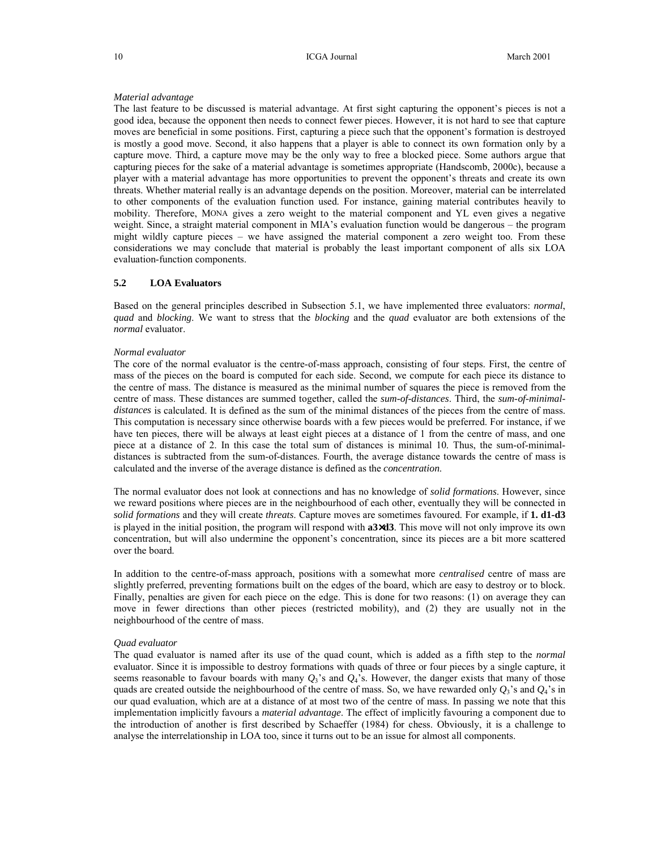#### *Material advantage*

The last feature to be discussed is material advantage. At first sight capturing the opponent's pieces is not a good idea, because the opponent then needs to connect fewer pieces. However, it is not hard to see that capture moves are beneficial in some positions. First, capturing a piece such that the opponent's formation is destroyed is mostly a good move. Second, it also happens that a player is able to connect its own formation only by a capture move. Third, a capture move may be the only way to free a blocked piece. Some authors argue that capturing pieces for the sake of a material advantage is sometimes appropriate (Handscomb, 2000c), because a player with a material advantage has more opportunities to prevent the opponent's threats and create its own threats. Whether material really is an advantage depends on the position. Moreover, material can be interrelated to other components of the evaluation function used. For instance, gaining material contributes heavily to mobility. Therefore, MONA gives a zero weight to the material component and YL even gives a negative weight. Since, a straight material component in MIA's evaluation function would be dangerous – the program might wildly capture pieces – we have assigned the material component a zero weight too. From these considerations we may conclude that material is probably the least important component of alls six LOA evaluation-function components.

### **5.2 LOA Evaluators**

Based on the general principles described in Subsection 5.1, we have implemented three evaluators: *normal*, *quad* and *blocking*. We want to stress that the *blocking* and the *quad* evaluator are both extensions of the *normal* evaluator.

#### *Normal evaluator*

The core of the normal evaluator is the centre-of-mass approach, consisting of four steps. First, the centre of mass of the pieces on the board is computed for each side. Second, we compute for each piece its distance to the centre of mass. The distance is measured as the minimal number of squares the piece is removed from the centre of mass. These distances are summed together, called the *sum-of-distances*. Third, the *sum-of-minimaldistances* is calculated. It is defined as the sum of the minimal distances of the pieces from the centre of mass. This computation is necessary since otherwise boards with a few pieces would be preferred. For instance, if we have ten pieces, there will be always at least eight pieces at a distance of 1 from the centre of mass, and one piece at a distance of 2. In this case the total sum of distances is minimal 10. Thus, the sum-of-minimaldistances is subtracted from the sum-of-distances. Fourth, the average distance towards the centre of mass is calculated and the inverse of the average distance is defined as the *concentration*.

The normal evaluator does not look at connections and has no knowledge of *solid formations*. However, since we reward positions where pieces are in the neighbourhood of each other, eventually they will be connected in *solid formations* and they will create *threats*. Capture moves are sometimes favoured. For example, if **1. d1-d3**  is played in the initial position, the program will respond with **a3**×**d3**. This move will not only improve its own concentration, but will also undermine the opponent's concentration, since its pieces are a bit more scattered over the board.

In addition to the centre-of-mass approach, positions with a somewhat more *centralised* centre of mass are slightly preferred, preventing formations built on the edges of the board, which are easy to destroy or to block. Finally, penalties are given for each piece on the edge. This is done for two reasons: (1) on average they can move in fewer directions than other pieces (restricted mobility), and (2) they are usually not in the neighbourhood of the centre of mass.

### *Quad evaluator*

The quad evaluator is named after its use of the quad count, which is added as a fifth step to the *normal* evaluator. Since it is impossible to destroy formations with quads of three or four pieces by a single capture, it seems reasonable to favour boards with many  $Q_3$ 's and  $Q_4$ 's. However, the danger exists that many of those quads are created outside the neighbourhood of the centre of mass. So, we have rewarded only *Q*3's and *Q*4's in our quad evaluation, which are at a distance of at most two of the centre of mass. In passing we note that this implementation implicitly favours a *material advantage*. The effect of implicitly favouring a component due to the introduction of another is first described by Schaeffer (1984) for chess. Obviously, it is a challenge to analyse the interrelationship in LOA too, since it turns out to be an issue for almost all components.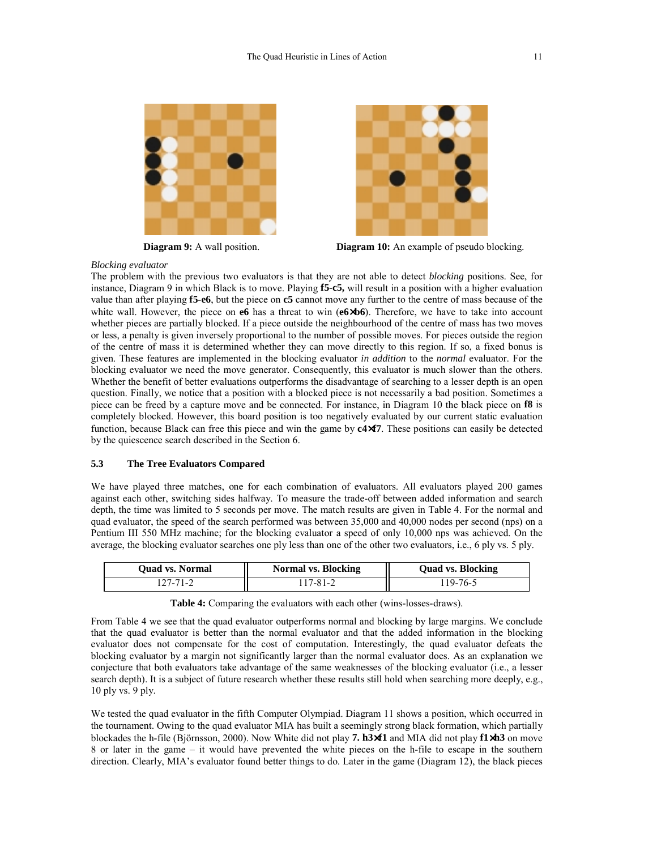



**Diagram 9:** A wall position. **Diagram 10:** An example of pseudo blocking.

*Blocking evaluator* 

The problem with the previous two evaluators is that they are not able to detect *blocking* positions. See, for instance, Diagram 9 in which Black is to move. Playing **f5-c5,** will result in a position with a higher evaluation value than after playing **f5-e6**, but the piece on **c5** cannot move any further to the centre of mass because of the white wall. However, the piece on **e6** has a threat to win ( $e6 \times b6$ ). Therefore, we have to take into account whether pieces are partially blocked. If a piece outside the neighbourhood of the centre of mass has two moves or less, a penalty is given inversely proportional to the number of possible moves. For pieces outside the region of the centre of mass it is determined whether they can move directly to this region. If so, a fixed bonus is given. These features are implemented in the blocking evaluator *in addition* to the *normal* evaluator. For the blocking evaluator we need the move generator. Consequently, this evaluator is much slower than the others. Whether the benefit of better evaluations outperforms the disadvantage of searching to a lesser depth is an open question. Finally, we notice that a position with a blocked piece is not necessarily a bad position. Sometimes a piece can be freed by a capture move and be connected. For instance, in Diagram 10 the black piece on **f8** is completely blocked. However, this board position is too negatively evaluated by our current static evaluation function, because Black can free this piece and win the game by **c4**×**f7**. These positions can easily be detected by the quiescence search described in the Section 6.

# **5.3 The Tree Evaluators Compared**

We have played three matches, one for each combination of evaluators. All evaluators played 200 games against each other, switching sides halfway. To measure the trade-off between added information and search depth, the time was limited to 5 seconds per move. The match results are given in Table 4. For the normal and quad evaluator, the speed of the search performed was between 35,000 and 40,000 nodes per second (nps) on a Pentium III 550 MHz machine; for the blocking evaluator a speed of only 10,000 nps was achieved. On the average, the blocking evaluator searches one ply less than one of the other two evaluators, i.e., 6 ply vs. 5 ply.

| <b>Ouad vs. Normal</b> | Normal vs. Blocking | <b>Ouad vs. Blocking</b> |
|------------------------|---------------------|--------------------------|
| $127 - 71 - 2$         | 17-81-2             | 19-76-5                  |

**Table 4:** Comparing the evaluators with each other (wins-losses-draws).

From Table 4 we see that the quad evaluator outperforms normal and blocking by large margins. We conclude that the quad evaluator is better than the normal evaluator and that the added information in the blocking evaluator does not compensate for the cost of computation. Interestingly, the quad evaluator defeats the blocking evaluator by a margin not significantly larger than the normal evaluator does. As an explanation we conjecture that both evaluators take advantage of the same weaknesses of the blocking evaluator (i.e., a lesser search depth). It is a subject of future research whether these results still hold when searching more deeply, e.g., 10 ply vs. 9 ply.

We tested the quad evaluator in the fifth Computer Olympiad. Diagram 11 shows a position, which occurred in the tournament. Owing to the quad evaluator MIA has built a seemingly strong black formation, which partially blockades the h-file (Björnsson, 2000). Now White did not play **7. h3**×**f1** and MIA did not play **f1**×**h3** on move 8 or later in the game – it would have prevented the white pieces on the h-file to escape in the southern direction. Clearly, MIA's evaluator found better things to do. Later in the game (Diagram 12), the black pieces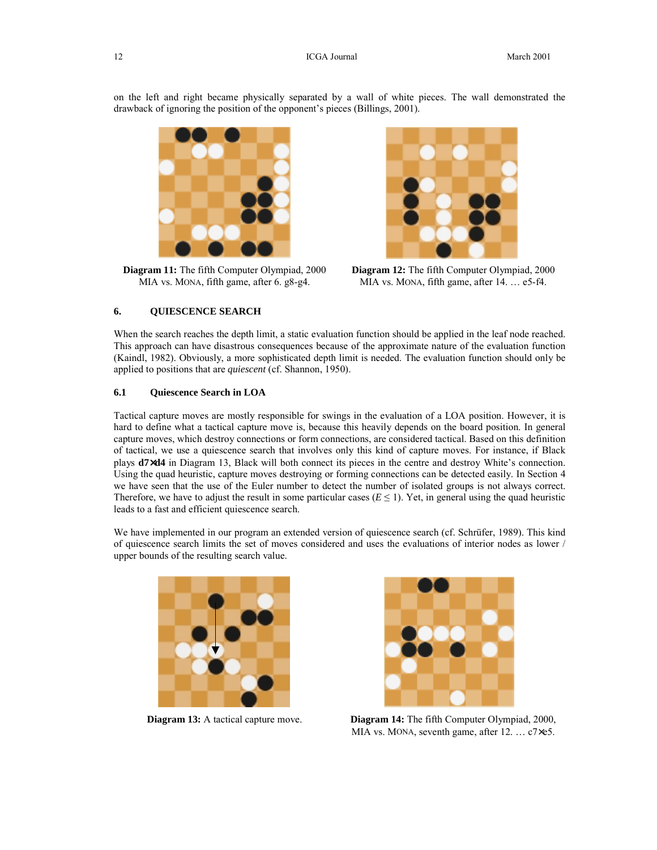on the left and right became physically separated by a wall of white pieces. The wall demonstrated the drawback of ignoring the position of the opponent's pieces (Billings, 2001).



**Diagram 11:** The fifth Computer Olympiad, 2000 MIA vs. MONA, fifth game, after 6. g8-g4.



**Diagram 12:** The fifth Computer Olympiad, 2000 MIA vs. MONA, fifth game, after 14. … e5-f4.

### **6. QUIESCENCE SEARCH**

When the search reaches the depth limit, a static evaluation function should be applied in the leaf node reached. This approach can have disastrous consequences because of the approximate nature of the evaluation function (Kaindl, 1982). Obviously, a more sophisticated depth limit is needed. The evaluation function should only be applied to positions that are *quiescent* (cf. Shannon, 1950).

## **6.1 Quiescence Search in LOA**

Tactical capture moves are mostly responsible for swings in the evaluation of a LOA position. However, it is hard to define what a tactical capture move is, because this heavily depends on the board position. In general capture moves, which destroy connections or form connections, are considered tactical. Based on this definition of tactical, we use a quiescence search that involves only this kind of capture moves. For instance, if Black plays **d7**×**d4** in Diagram 13, Black will both connect its pieces in the centre and destroy White's connection. Using the quad heuristic, capture moves destroying or forming connections can be detected easily. In Section 4 we have seen that the use of the Euler number to detect the number of isolated groups is not always correct. Therefore, we have to adjust the result in some particular cases ( $E \le 1$ ). Yet, in general using the quad heuristic leads to a fast and efficient quiescence search.

We have implemented in our program an extended version of quiescence search (cf. Schrüfer, 1989). This kind of quiescence search limits the set of moves considered and uses the evaluations of interior nodes as lower / upper bounds of the resulting search value.





**Diagram 13:** A tactical capture move. **Diagram 14:** The fifth Computer Olympiad, 2000, MIA vs. MONA, seventh game, after 12. … c7×e5.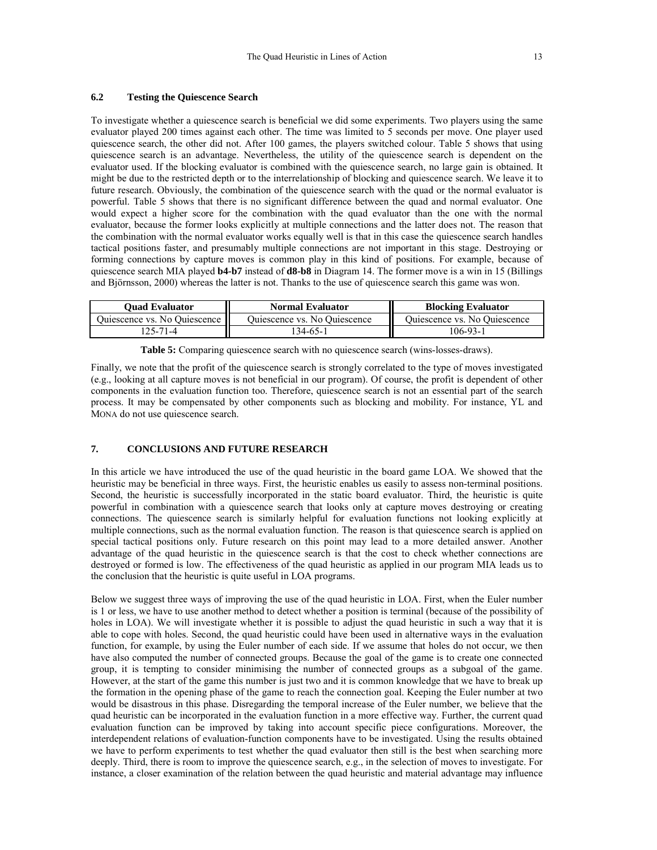### **6.2 Testing the Quiescence Search**

To investigate whether a quiescence search is beneficial we did some experiments. Two players using the same evaluator played 200 times against each other. The time was limited to 5 seconds per move. One player used quiescence search, the other did not. After 100 games, the players switched colour. Table 5 shows that using quiescence search is an advantage. Nevertheless, the utility of the quiescence search is dependent on the evaluator used. If the blocking evaluator is combined with the quiescence search, no large gain is obtained. It might be due to the restricted depth or to the interrelationship of blocking and quiescence search. We leave it to future research. Obviously, the combination of the quiescence search with the quad or the normal evaluator is powerful. Table 5 shows that there is no significant difference between the quad and normal evaluator. One would expect a higher score for the combination with the quad evaluator than the one with the normal evaluator, because the former looks explicitly at multiple connections and the latter does not. The reason that the combination with the normal evaluator works equally well is that in this case the quiescence search handles tactical positions faster, and presumably multiple connections are not important in this stage. Destroying or forming connections by capture moves is common play in this kind of positions. For example, because of quiescence search MIA played **b4-b7** instead of **d8-b8** in Diagram 14. The former move is a win in 15 (Billings and Björnsson, 2000) whereas the latter is not. Thanks to the use of quiescence search this game was won.

| <b>Ouad Evaluator</b>        | <b>Normal Evaluator</b>      | <b>Blocking Evaluator</b>    |  |
|------------------------------|------------------------------|------------------------------|--|
| Quiescence vs. No Quiescence | Quiescence vs. No Quiescence | Quiescence vs. No Quiescence |  |
| .25-71-4                     | 134-65-1                     | 106-93-1                     |  |

|  |  |  | Table 5: Comparing quiescence search with no quiescence search (wins-losses-draws). |
|--|--|--|-------------------------------------------------------------------------------------|
|  |  |  |                                                                                     |
|  |  |  |                                                                                     |

Finally, we note that the profit of the quiescence search is strongly correlated to the type of moves investigated (e.g., looking at all capture moves is not beneficial in our program). Of course, the profit is dependent of other components in the evaluation function too. Therefore, quiescence search is not an essential part of the search process. It may be compensated by other components such as blocking and mobility. For instance, YL and MONA do not use quiescence search.

# **7. CONCLUSIONS AND FUTURE RESEARCH**

In this article we have introduced the use of the quad heuristic in the board game LOA. We showed that the heuristic may be beneficial in three ways. First, the heuristic enables us easily to assess non-terminal positions. Second, the heuristic is successfully incorporated in the static board evaluator. Third, the heuristic is quite powerful in combination with a quiescence search that looks only at capture moves destroying or creating connections. The quiescence search is similarly helpful for evaluation functions not looking explicitly at multiple connections, such as the normal evaluation function. The reason is that quiescence search is applied on special tactical positions only. Future research on this point may lead to a more detailed answer. Another advantage of the quad heuristic in the quiescence search is that the cost to check whether connections are destroyed or formed is low. The effectiveness of the quad heuristic as applied in our program MIA leads us to the conclusion that the heuristic is quite useful in LOA programs.

Below we suggest three ways of improving the use of the quad heuristic in LOA. First, when the Euler number is 1 or less, we have to use another method to detect whether a position is terminal (because of the possibility of holes in LOA). We will investigate whether it is possible to adjust the quad heuristic in such a way that it is able to cope with holes. Second, the quad heuristic could have been used in alternative ways in the evaluation function, for example, by using the Euler number of each side. If we assume that holes do not occur, we then have also computed the number of connected groups. Because the goal of the game is to create one connected group, it is tempting to consider minimising the number of connected groups as a subgoal of the game. However, at the start of the game this number is just two and it is common knowledge that we have to break up the formation in the opening phase of the game to reach the connection goal. Keeping the Euler number at two would be disastrous in this phase. Disregarding the temporal increase of the Euler number, we believe that the quad heuristic can be incorporated in the evaluation function in a more effective way. Further, the current quad evaluation function can be improved by taking into account specific piece configurations. Moreover, the interdependent relations of evaluation-function components have to be investigated. Using the results obtained we have to perform experiments to test whether the quad evaluator then still is the best when searching more deeply. Third, there is room to improve the quiescence search, e.g., in the selection of moves to investigate. For instance, a closer examination of the relation between the quad heuristic and material advantage may influence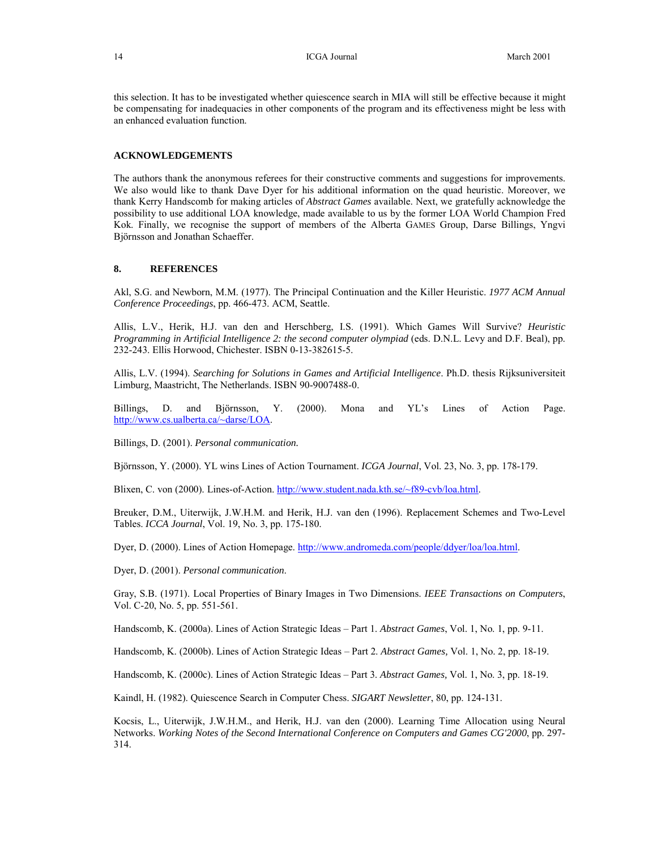this selection. It has to be investigated whether quiescence search in MIA will still be effective because it might be compensating for inadequacies in other components of the program and its effectiveness might be less with an enhanced evaluation function.

# **ACKNOWLEDGEMENTS**

The authors thank the anonymous referees for their constructive comments and suggestions for improvements. We also would like to thank Dave Dyer for his additional information on the quad heuristic. Moreover, we thank Kerry Handscomb for making articles of *Abstract Games* available. Next, we gratefully acknowledge the possibility to use additional LOA knowledge, made available to us by the former LOA World Champion Fred Kok. Finally, we recognise the support of members of the Alberta GAMES Group, Darse Billings, Yngvi Björnsson and Jonathan Schaeffer.

### **8. REFERENCES**

Akl, S.G. and Newborn, M.M. (1977). The Principal Continuation and the Killer Heuristic. *1977 ACM Annual Conference Proceedings*, pp. 466-473. ACM, Seattle.

Allis, L.V., Herik, H.J. van den and Herschberg, I.S. (1991). Which Games Will Survive? *Heuristic Programming in Artificial Intelligence 2: the second computer olympiad* (eds. D.N.L. Levy and D.F. Beal), pp. 232-243. Ellis Horwood, Chichester. ISBN 0-13-382615-5.

Allis, L.V. (1994). *Searching for Solutions in Games and Artificial Intelligence*. Ph.D. thesis Rijksuniversiteit Limburg, Maastricht, The Netherlands. ISBN 90-9007488-0.

Billings, D. and Björnsson, Y. (2000). Mona and YL's Lines of Action Page. http://www.cs.ualberta.ca/~darse/LOA.

Billings, D. (2001). *Personal communication.* 

Björnsson, Y. (2000). YL wins Lines of Action Tournament. *ICGA Journal*, Vol. 23, No. 3, pp. 178-179.

Blixen, C. von (2000). Lines-of-Action. http://www.student.nada.kth.se/~f89-cvb/loa.html.

Breuker, D.M., Uiterwijk, J.W.H.M. and Herik, H.J. van den (1996). Replacement Schemes and Two-Level Tables. *ICCA Journal*, Vol. 19, No. 3, pp. 175-180.

Dyer, D. (2000). Lines of Action Homepage. http://www.andromeda.com/people/ddyer/loa/loa.html.

Dyer, D. (2001). *Personal communication*.

Gray, S.B. (1971). Local Properties of Binary Images in Two Dimensions. *IEEE Transactions on Computers*, Vol. C-20, No. 5, pp. 551-561.

Handscomb, K. (2000a). Lines of Action Strategic Ideas – Part 1. *Abstract Games*, Vol. 1, No. 1, pp. 9-11.

Handscomb, K. (2000b). Lines of Action Strategic Ideas – Part 2. *Abstract Games,* Vol. 1, No. 2, pp. 18-19.

Handscomb, K. (2000c). Lines of Action Strategic Ideas – Part 3. *Abstract Games,* Vol. 1, No. 3, pp. 18-19.

Kaindl, H. (1982). Quiescence Search in Computer Chess. *SIGART Newsletter*, 80, pp. 124-131.

Kocsis, L., Uiterwijk, J.W.H.M., and Herik, H.J. van den (2000). Learning Time Allocation using Neural Networks. *Working Notes of the Second International Conference on Computers and Games CG'2000*, pp. 297- 314.